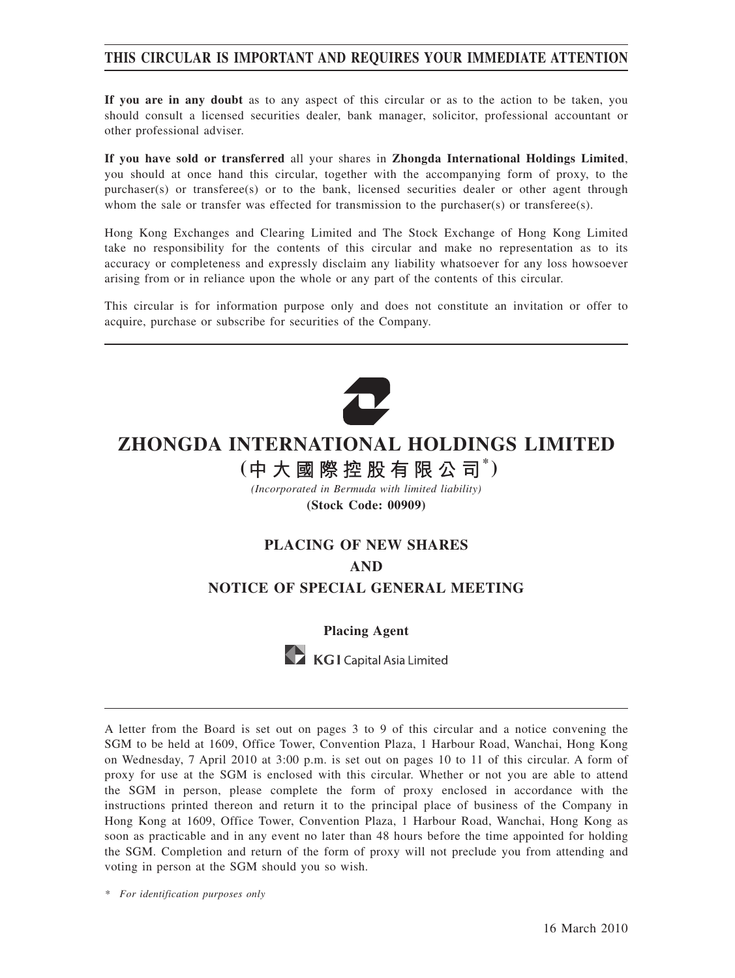## **THIS CIRCULAR IS IMPORTANT AND REQUIRES YOUR IMMEDIATE ATTENTION**

**If you are in any doubt** as to any aspect of this circular or as to the action to be taken, you should consult a licensed securities dealer, bank manager, solicitor, professional accountant or other professional adviser.

**If you have sold or transferred** all your shares in **Zhongda International Holdings Limited**, you should at once hand this circular, together with the accompanying form of proxy, to the purchaser(s) or transferee(s) or to the bank, licensed securities dealer or other agent through whom the sale or transfer was effected for transmission to the purchaser(s) or transferee(s).

Hong Kong Exchanges and Clearing Limited and The Stock Exchange of Hong Kong Limited take no responsibility for the contents of this circular and make no representation as to its accuracy or completeness and expressly disclaim any liability whatsoever for any loss howsoever arising from or in reliance upon the whole or any part of the contents of this circular.

This circular is for information purpose only and does not constitute an invitation or offer to acquire, purchase or subscribe for securities of the Company.



# **ZHONGDA INTERNATIONAL HOLDINGS LIMITED**

# **( \* )**

*(Incorporated in Bermuda with limited liability)* **(Stock Code: 00909)**

# **PLACING OF NEW SHARES AND NOTICE OF SPECIAL GENERAL MEETING**

#### **Placing Agent**



A letter from the Board is set out on pages 3 to 9 of this circular and a notice convening the SGM to be held at 1609, Office Tower, Convention Plaza, 1 Harbour Road, Wanchai, Hong Kong on Wednesday, 7 April 2010 at 3:00 p.m. is set out on pages 10 to 11 of this circular. A form of proxy for use at the SGM is enclosed with this circular. Whether or not you are able to attend the SGM in person, please complete the form of proxy enclosed in accordance with the instructions printed thereon and return it to the principal place of business of the Company in Hong Kong at 1609, Office Tower, Convention Plaza, 1 Harbour Road, Wanchai, Hong Kong as soon as practicable and in any event no later than 48 hours before the time appointed for holding the SGM. Completion and return of the form of proxy will not preclude you from attending and voting in person at the SGM should you so wish.

*\* For identification purposes only*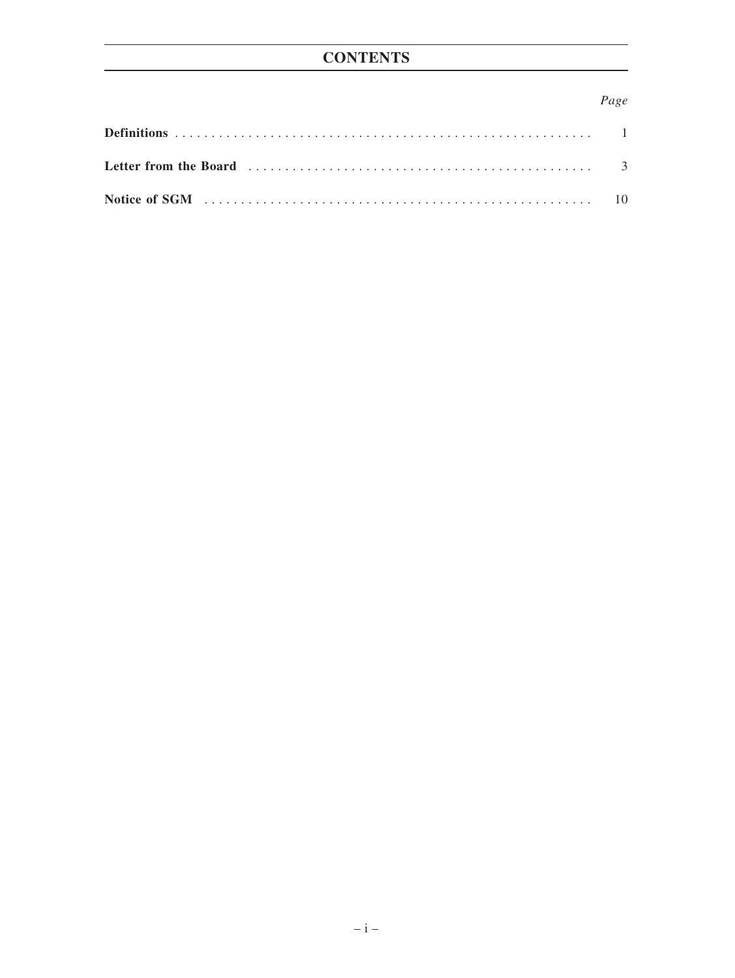# **CONTENTS**

## Page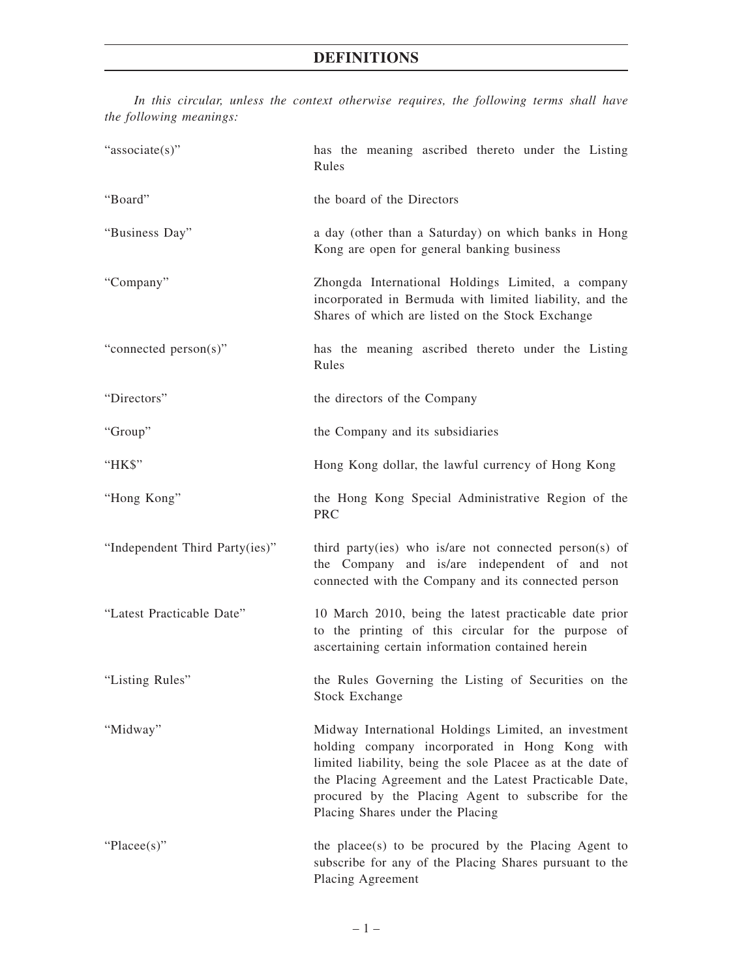| "associate(s)"                 | has the meaning ascribed thereto under the Listing<br>Rules                                                                                                                                                                                                                                                              |  |  |  |  |  |
|--------------------------------|--------------------------------------------------------------------------------------------------------------------------------------------------------------------------------------------------------------------------------------------------------------------------------------------------------------------------|--|--|--|--|--|
| "Board"                        | the board of the Directors                                                                                                                                                                                                                                                                                               |  |  |  |  |  |
| "Business Day"                 | a day (other than a Saturday) on which banks in Hong<br>Kong are open for general banking business                                                                                                                                                                                                                       |  |  |  |  |  |
| "Company"                      | Zhongda International Holdings Limited, a company<br>incorporated in Bermuda with limited liability, and the<br>Shares of which are listed on the Stock Exchange                                                                                                                                                         |  |  |  |  |  |
| "connected person(s)"          | has the meaning ascribed thereto under the Listing<br>Rules                                                                                                                                                                                                                                                              |  |  |  |  |  |
| "Directors"                    | the directors of the Company                                                                                                                                                                                                                                                                                             |  |  |  |  |  |
| "Group"                        | the Company and its subsidiaries                                                                                                                                                                                                                                                                                         |  |  |  |  |  |
| "HK\$"                         | Hong Kong dollar, the lawful currency of Hong Kong                                                                                                                                                                                                                                                                       |  |  |  |  |  |
| "Hong Kong"                    | the Hong Kong Special Administrative Region of the<br><b>PRC</b>                                                                                                                                                                                                                                                         |  |  |  |  |  |
| "Independent Third Party(ies)" | third party (ies) who is/are not connected person(s) of<br>the Company and is/are independent of and not<br>connected with the Company and its connected person                                                                                                                                                          |  |  |  |  |  |
| "Latest Practicable Date"      | 10 March 2010, being the latest practicable date prior<br>to the printing of this circular for the purpose of<br>ascertaining certain information contained herein                                                                                                                                                       |  |  |  |  |  |
| "Listing Rules"                | the Rules Governing the Listing of Securities on the<br><b>Stock Exchange</b>                                                                                                                                                                                                                                            |  |  |  |  |  |
| "Midway"                       | Midway International Holdings Limited, an investment<br>holding company incorporated in Hong Kong with<br>limited liability, being the sole Placee as at the date of<br>the Placing Agreement and the Latest Practicable Date,<br>procured by the Placing Agent to subscribe for the<br>Placing Shares under the Placing |  |  |  |  |  |
| " $Place(s)$ "                 | the place (s) to be procured by the Placing Agent to<br>subscribe for any of the Placing Shares pursuant to the<br>Placing Agreement                                                                                                                                                                                     |  |  |  |  |  |

*In this circular, unless the context otherwise requires, the following terms shall have the following meanings:*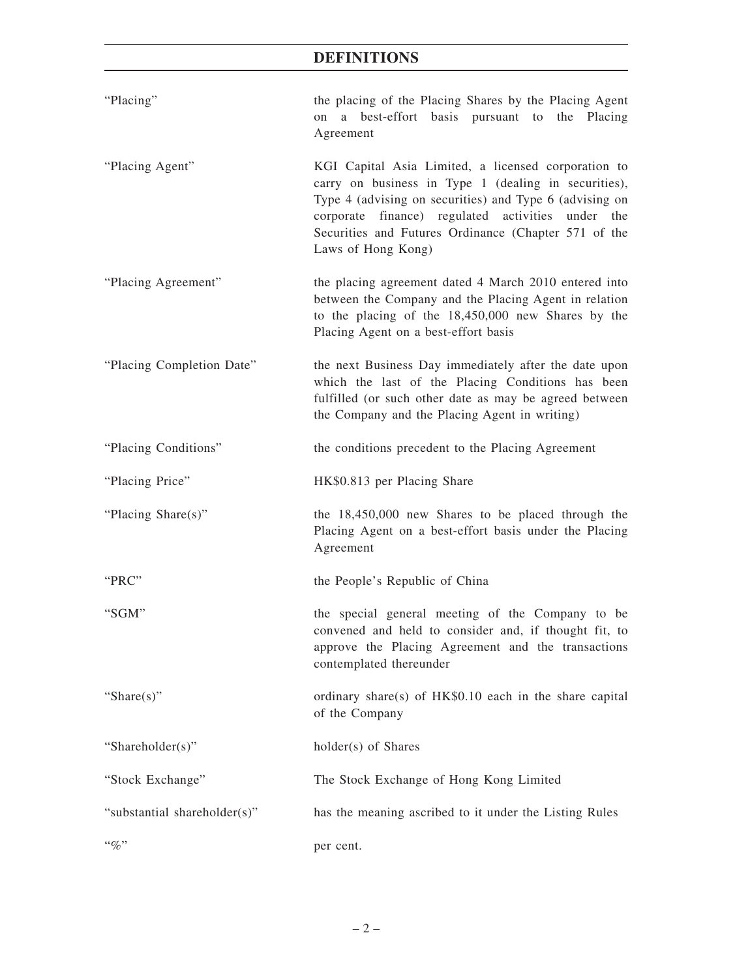# **DEFINITIONS**

| "Placing"                    | the placing of the Placing Shares by the Placing Agent<br>a best-effort basis pursuant to the Placing<br>on<br>Agreement                                                                                                                                                                                  |
|------------------------------|-----------------------------------------------------------------------------------------------------------------------------------------------------------------------------------------------------------------------------------------------------------------------------------------------------------|
| "Placing Agent"              | KGI Capital Asia Limited, a licensed corporation to<br>carry on business in Type 1 (dealing in securities),<br>Type 4 (advising on securities) and Type 6 (advising on<br>corporate finance) regulated activities under the<br>Securities and Futures Ordinance (Chapter 571 of the<br>Laws of Hong Kong) |
| "Placing Agreement"          | the placing agreement dated 4 March 2010 entered into<br>between the Company and the Placing Agent in relation<br>to the placing of the 18,450,000 new Shares by the<br>Placing Agent on a best-effort basis                                                                                              |
| "Placing Completion Date"    | the next Business Day immediately after the date upon<br>which the last of the Placing Conditions has been<br>fulfilled (or such other date as may be agreed between<br>the Company and the Placing Agent in writing)                                                                                     |
| "Placing Conditions"         | the conditions precedent to the Placing Agreement                                                                                                                                                                                                                                                         |
| "Placing Price"              | HK\$0.813 per Placing Share                                                                                                                                                                                                                                                                               |
| "Placing Share(s)"           | the 18,450,000 new Shares to be placed through the<br>Placing Agent on a best-effort basis under the Placing<br>Agreement                                                                                                                                                                                 |
| "PRC"                        | the People's Republic of China                                                                                                                                                                                                                                                                            |
| "SGM"                        | the special general meeting of the Company to be<br>convened and held to consider and, if thought fit, to<br>approve the Placing Agreement and the transactions<br>contemplated thereunder                                                                                                                |
| "Share $(s)$ "               | ordinary share(s) of HK\$0.10 each in the share capital<br>of the Company                                                                                                                                                                                                                                 |
| "Shareholder(s)"             | holder(s) of Shares                                                                                                                                                                                                                                                                                       |
| "Stock Exchange"             | The Stock Exchange of Hong Kong Limited                                                                                                                                                                                                                                                                   |
| "substantial shareholder(s)" | has the meaning ascribed to it under the Listing Rules                                                                                                                                                                                                                                                    |
| $``\%"$                      | per cent.                                                                                                                                                                                                                                                                                                 |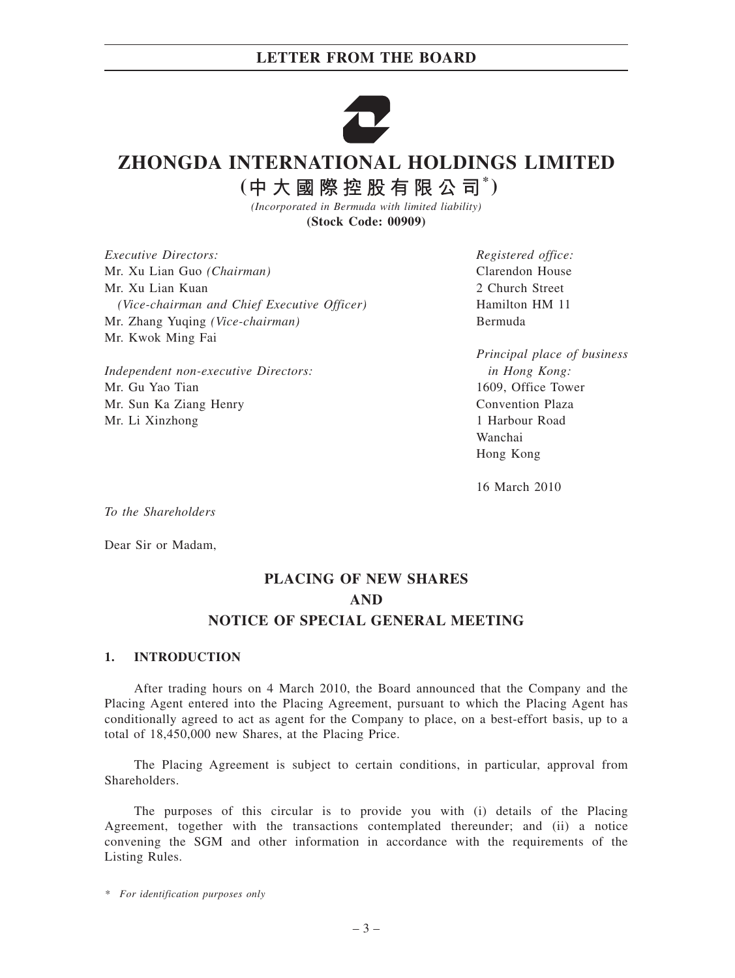

# **ZHONGDA INTERNATIONAL HOLDINGS LIMITED**

(中大國際控股有限公司<sup>\*</sup>)

*(Incorporated in Bermuda with limited liability)* **(Stock Code: 00909)**

*Executive Directors:* Mr. Xu Lian Guo *(Chairman)* Mr. Xu Lian Kuan *(Vice-chairman and Chief Executive Officer)* Mr. Zhang Yuqing *(Vice-chairman)* Mr. Kwok Ming Fai

*Independent non-executive Directors:* Mr. Gu Yao Tian Mr. Sun Ka Ziang Henry Mr. Li Xinzhong

*Registered office:* Clarendon House 2 Church Street Hamilton HM 11 Bermuda

*Principal place of business in Hong Kong:* 1609, Office Tower Convention Plaza 1 Harbour Road Wanchai Hong Kong

16 March 2010

*To the Shareholders*

Dear Sir or Madam,

# **PLACING OF NEW SHARES AND NOTICE OF SPECIAL GENERAL MEETING**

#### **1. INTRODUCTION**

After trading hours on 4 March 2010, the Board announced that the Company and the Placing Agent entered into the Placing Agreement, pursuant to which the Placing Agent has conditionally agreed to act as agent for the Company to place, on a best-effort basis, up to a total of 18,450,000 new Shares, at the Placing Price.

The Placing Agreement is subject to certain conditions, in particular, approval from **Shareholders** 

The purposes of this circular is to provide you with (i) details of the Placing Agreement, together with the transactions contemplated thereunder; and (ii) a notice convening the SGM and other information in accordance with the requirements of the Listing Rules.

*\* For identification purposes only*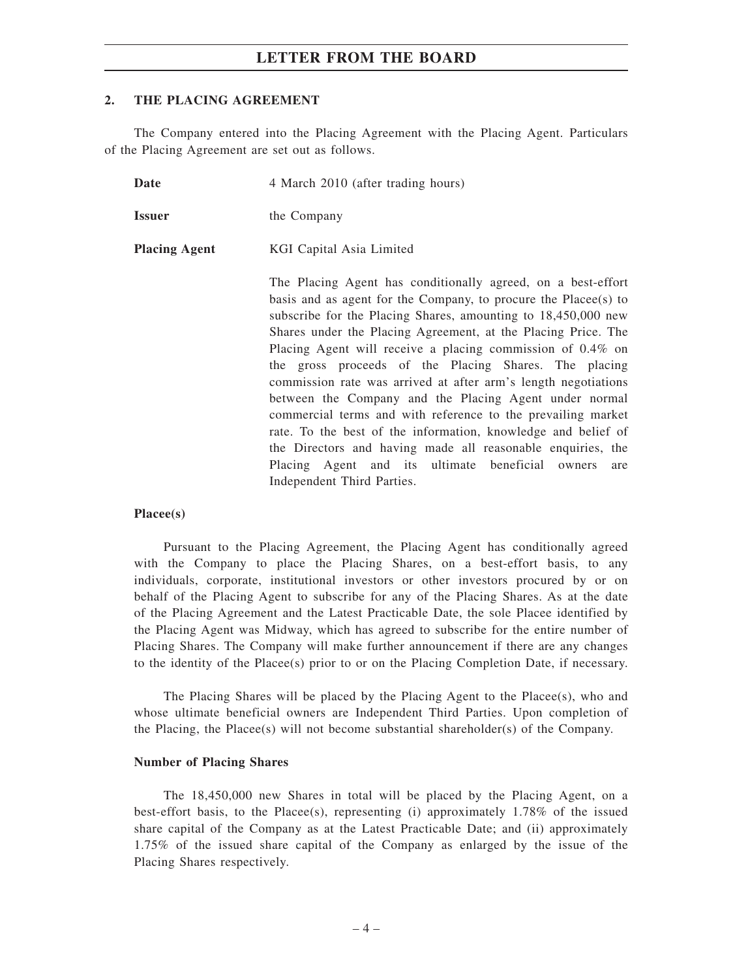#### **2. THE PLACING AGREEMENT**

The Company entered into the Placing Agreement with the Placing Agent. Particulars of the Placing Agreement are set out as follows.

**Date** 4 March 2010 (after trading hours)

| <i>vate</i>          | 4 March 2010 (after trading nours)                                                                                                                                                                                                                                                                                                                                                       |
|----------------------|------------------------------------------------------------------------------------------------------------------------------------------------------------------------------------------------------------------------------------------------------------------------------------------------------------------------------------------------------------------------------------------|
| <b>Issuer</b>        | the Company                                                                                                                                                                                                                                                                                                                                                                              |
| <b>Placing Agent</b> | KGI Capital Asia Limited                                                                                                                                                                                                                                                                                                                                                                 |
|                      | The Placing Agent has conditionally agreed, on a best-effort<br>basis and as agent for the Company, to procure the Placee(s) to<br>subscribe for the Placing Shares, amounting to 18,450,000 new<br>Shares under the Placing Agreement, at the Placing Price. The<br>Placing Agent will receive a placing commission of 0.4% on<br>the gross proceeds of the Placing Shares. The placing |

the gross proceeds of the Placing Shares. The placing commission rate was arrived at after arm's length negotiations between the Company and the Placing Agent under normal commercial terms and with reference to the prevailing market rate. To the best of the information, knowledge and belief of the Directors and having made all reasonable enquiries, the Placing Agent and its ultimate beneficial owners are Independent Third Parties.

#### **Placee(s)**

Pursuant to the Placing Agreement, the Placing Agent has conditionally agreed with the Company to place the Placing Shares, on a best-effort basis, to any individuals, corporate, institutional investors or other investors procured by or on behalf of the Placing Agent to subscribe for any of the Placing Shares. As at the date of the Placing Agreement and the Latest Practicable Date, the sole Placee identified by the Placing Agent was Midway, which has agreed to subscribe for the entire number of Placing Shares. The Company will make further announcement if there are any changes to the identity of the Placee(s) prior to or on the Placing Completion Date, if necessary.

The Placing Shares will be placed by the Placing Agent to the Placee(s), who and whose ultimate beneficial owners are Independent Third Parties. Upon completion of the Placing, the Placee(s) will not become substantial shareholder(s) of the Company.

#### **Number of Placing Shares**

The 18,450,000 new Shares in total will be placed by the Placing Agent, on a best-effort basis, to the Placee(s), representing (i) approximately 1.78% of the issued share capital of the Company as at the Latest Practicable Date; and (ii) approximately 1.75% of the issued share capital of the Company as enlarged by the issue of the Placing Shares respectively.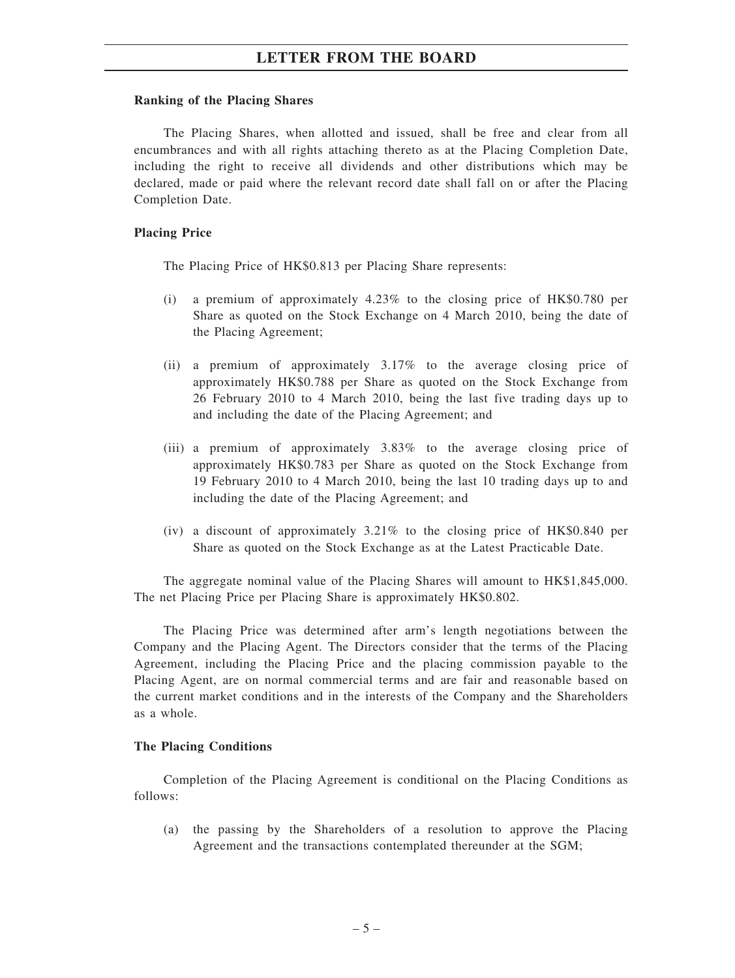#### **Ranking of the Placing Shares**

The Placing Shares, when allotted and issued, shall be free and clear from all encumbrances and with all rights attaching thereto as at the Placing Completion Date, including the right to receive all dividends and other distributions which may be declared, made or paid where the relevant record date shall fall on or after the Placing Completion Date.

#### **Placing Price**

The Placing Price of HK\$0.813 per Placing Share represents:

- (i) a premium of approximately 4.23% to the closing price of HK\$0.780 per Share as quoted on the Stock Exchange on 4 March 2010, being the date of the Placing Agreement;
- (ii) a premium of approximately 3.17% to the average closing price of approximately HK\$0.788 per Share as quoted on the Stock Exchange from 26 February 2010 to 4 March 2010, being the last five trading days up to and including the date of the Placing Agreement; and
- (iii) a premium of approximately 3.83% to the average closing price of approximately HK\$0.783 per Share as quoted on the Stock Exchange from 19 February 2010 to 4 March 2010, being the last 10 trading days up to and including the date of the Placing Agreement; and
- (iv) a discount of approximately 3.21% to the closing price of HK\$0.840 per Share as quoted on the Stock Exchange as at the Latest Practicable Date.

The aggregate nominal value of the Placing Shares will amount to HK\$1,845,000. The net Placing Price per Placing Share is approximately HK\$0.802.

The Placing Price was determined after arm's length negotiations between the Company and the Placing Agent. The Directors consider that the terms of the Placing Agreement, including the Placing Price and the placing commission payable to the Placing Agent, are on normal commercial terms and are fair and reasonable based on the current market conditions and in the interests of the Company and the Shareholders as a whole.

#### **The Placing Conditions**

Completion of the Placing Agreement is conditional on the Placing Conditions as follows:

(a) the passing by the Shareholders of a resolution to approve the Placing Agreement and the transactions contemplated thereunder at the SGM;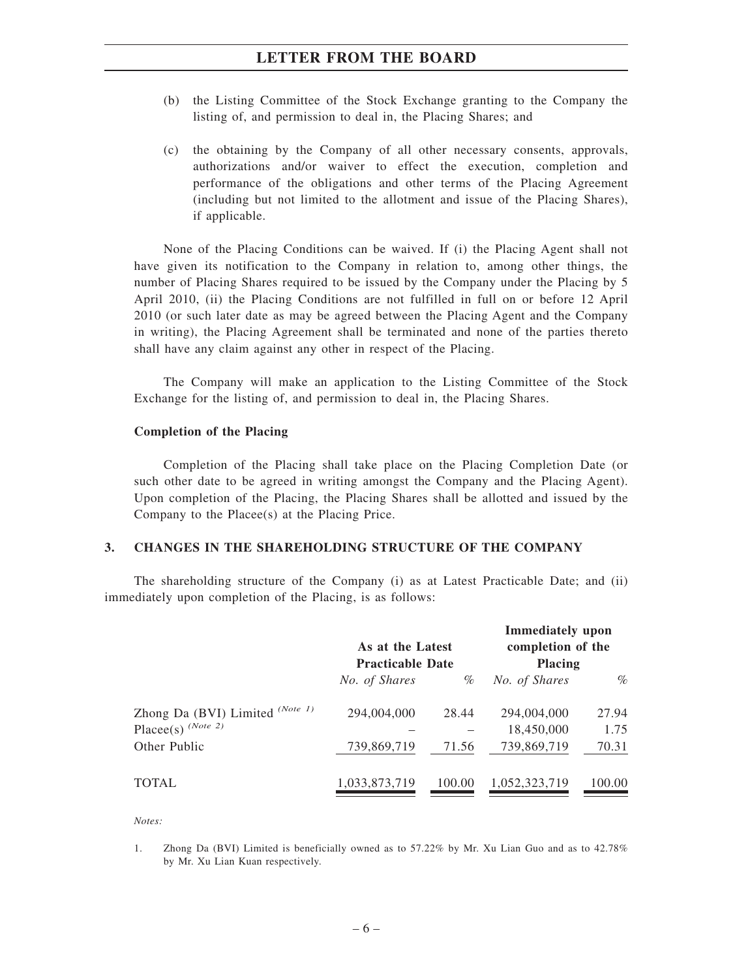- (b) the Listing Committee of the Stock Exchange granting to the Company the listing of, and permission to deal in, the Placing Shares; and
- (c) the obtaining by the Company of all other necessary consents, approvals, authorizations and/or waiver to effect the execution, completion and performance of the obligations and other terms of the Placing Agreement (including but not limited to the allotment and issue of the Placing Shares), if applicable.

None of the Placing Conditions can be waived. If (i) the Placing Agent shall not have given its notification to the Company in relation to, among other things, the number of Placing Shares required to be issued by the Company under the Placing by 5 April 2010, (ii) the Placing Conditions are not fulfilled in full on or before 12 April 2010 (or such later date as may be agreed between the Placing Agent and the Company in writing), the Placing Agreement shall be terminated and none of the parties thereto shall have any claim against any other in respect of the Placing.

The Company will make an application to the Listing Committee of the Stock Exchange for the listing of, and permission to deal in, the Placing Shares.

#### **Completion of the Placing**

Completion of the Placing shall take place on the Placing Completion Date (or such other date to be agreed in writing amongst the Company and the Placing Agent). Upon completion of the Placing, the Placing Shares shall be allotted and issued by the Company to the Placee(s) at the Placing Price.

#### **3. CHANGES IN THE SHAREHOLDING STRUCTURE OF THE COMPANY**

The shareholding structure of the Company (i) as at Latest Practicable Date; and (ii) immediately upon completion of the Placing, is as follows:

|                                                         | As at the Latest<br><b>Practicable Date</b> |        | <b>Immediately</b> upon<br>completion of the<br><b>Placing</b> |               |
|---------------------------------------------------------|---------------------------------------------|--------|----------------------------------------------------------------|---------------|
|                                                         | No. of Shares                               | %      | No. of Shares                                                  | $\%$          |
| Zhong Da (BVI) Limited (Note 1)<br>Placee(s) $(Note 2)$ | 294,004,000                                 | 28.44  | 294,004,000<br>18,450,000                                      | 27.94<br>1.75 |
| Other Public                                            | 739,869,719                                 | 71.56  | 739,869,719                                                    | 70.31         |
| <b>TOTAL</b>                                            | 1,033,873,719                               | 100.00 | 1,052,323,719                                                  | 100.00        |

*Notes:*

1. Zhong Da (BVI) Limited is beneficially owned as to 57.22% by Mr. Xu Lian Guo and as to 42.78% by Mr. Xu Lian Kuan respectively.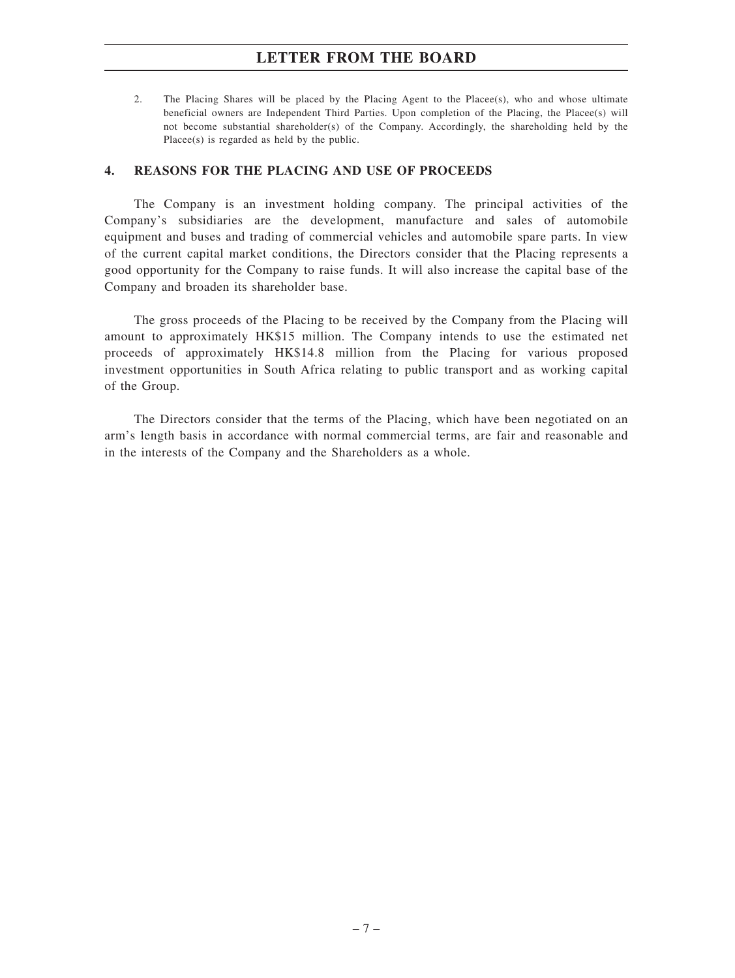2. The Placing Shares will be placed by the Placing Agent to the Placee(s), who and whose ultimate beneficial owners are Independent Third Parties. Upon completion of the Placing, the Placee(s) will not become substantial shareholder(s) of the Company. Accordingly, the shareholding held by the Placee(s) is regarded as held by the public.

#### **4. REASONS FOR THE PLACING AND USE OF PROCEEDS**

The Company is an investment holding company. The principal activities of the Company's subsidiaries are the development, manufacture and sales of automobile equipment and buses and trading of commercial vehicles and automobile spare parts. In view of the current capital market conditions, the Directors consider that the Placing represents a good opportunity for the Company to raise funds. It will also increase the capital base of the Company and broaden its shareholder base.

The gross proceeds of the Placing to be received by the Company from the Placing will amount to approximately HK\$15 million. The Company intends to use the estimated net proceeds of approximately HK\$14.8 million from the Placing for various proposed investment opportunities in South Africa relating to public transport and as working capital of the Group.

The Directors consider that the terms of the Placing, which have been negotiated on an arm's length basis in accordance with normal commercial terms, are fair and reasonable and in the interests of the Company and the Shareholders as a whole.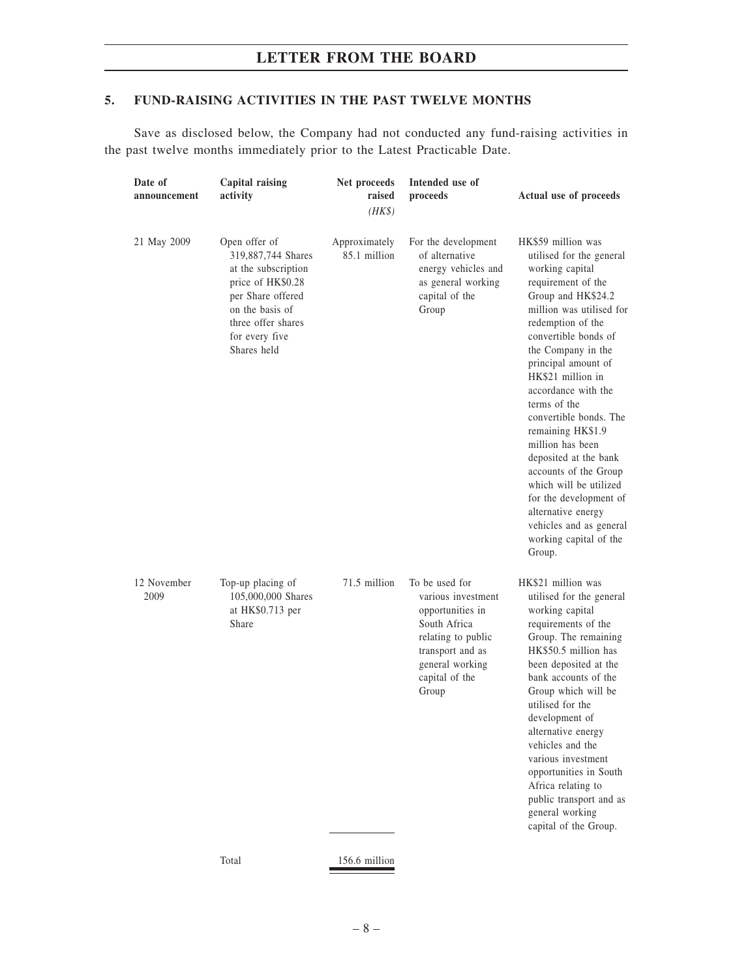### **5. FUND-RAISING ACTIVITIES IN THE PAST TWELVE MONTHS**

Save as disclosed below, the Company had not conducted any fund-raising activities in the past twelve months immediately prior to the Latest Practicable Date.

| Date of<br>announcement | Capital raising<br>activity                                                                                                                                                    | Net proceeds<br>raised<br>$(HK\$ | Intended use of<br>proceeds                                                                                                                                      | Actual use of proceeds                                                                                                                                                                                                                                                                                                                                                                                                                                                                                                                                        |
|-------------------------|--------------------------------------------------------------------------------------------------------------------------------------------------------------------------------|----------------------------------|------------------------------------------------------------------------------------------------------------------------------------------------------------------|---------------------------------------------------------------------------------------------------------------------------------------------------------------------------------------------------------------------------------------------------------------------------------------------------------------------------------------------------------------------------------------------------------------------------------------------------------------------------------------------------------------------------------------------------------------|
| 21 May 2009             | Open offer of<br>319,887,744 Shares<br>at the subscription<br>price of HK\$0.28<br>per Share offered<br>on the basis of<br>three offer shares<br>for every five<br>Shares held | Approximately<br>85.1 million    | For the development<br>of alternative<br>energy vehicles and<br>as general working<br>capital of the<br>Group                                                    | HK\$59 million was<br>utilised for the general<br>working capital<br>requirement of the<br>Group and HK\$24.2<br>million was utilised for<br>redemption of the<br>convertible bonds of<br>the Company in the<br>principal amount of<br>HK\$21 million in<br>accordance with the<br>terms of the<br>convertible bonds. The<br>remaining HK\$1.9<br>million has been<br>deposited at the bank<br>accounts of the Group<br>which will be utilized<br>for the development of<br>alternative energy<br>vehicles and as general<br>working capital of the<br>Group. |
| 12 November<br>2009     | Top-up placing of<br>105,000,000 Shares<br>at $HK$0.713$ per<br>Share                                                                                                          | 71.5 million                     | To be used for<br>various investment<br>opportunities in<br>South Africa<br>relating to public<br>transport and as<br>general working<br>capital of the<br>Group | HK\$21 million was<br>utilised for the general<br>working capital<br>requirements of the<br>Group. The remaining<br>HK\$50.5 million has<br>been deposited at the<br>bank accounts of the<br>Group which will be<br>utilised for the<br>development of<br>alternative energy<br>vehicles and the<br>various investment<br>opportunities in South<br>Africa relating to<br>public transport and as<br>general working<br>capital of the Group.                                                                                                                 |
|                         | Total                                                                                                                                                                          | 156.6 million                    |                                                                                                                                                                  |                                                                                                                                                                                                                                                                                                                                                                                                                                                                                                                                                               |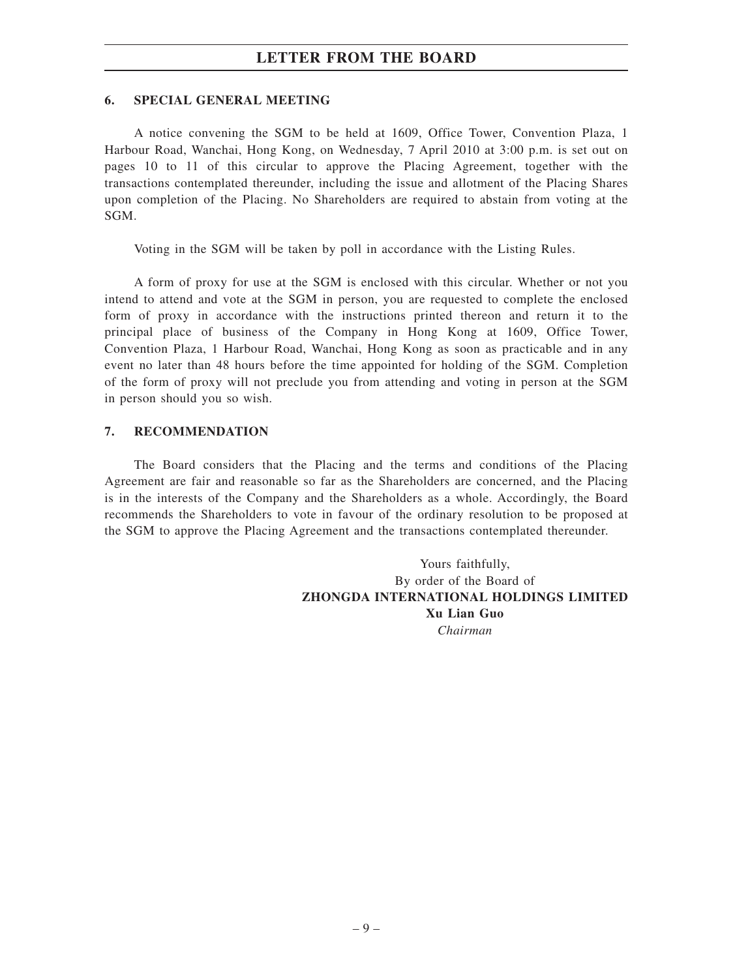### **6. SPECIAL GENERAL MEETING**

A notice convening the SGM to be held at 1609, Office Tower, Convention Plaza, 1 Harbour Road, Wanchai, Hong Kong, on Wednesday, 7 April 2010 at 3:00 p.m. is set out on pages 10 to 11 of this circular to approve the Placing Agreement, together with the transactions contemplated thereunder, including the issue and allotment of the Placing Shares upon completion of the Placing. No Shareholders are required to abstain from voting at the SGM.

Voting in the SGM will be taken by poll in accordance with the Listing Rules.

A form of proxy for use at the SGM is enclosed with this circular. Whether or not you intend to attend and vote at the SGM in person, you are requested to complete the enclosed form of proxy in accordance with the instructions printed thereon and return it to the principal place of business of the Company in Hong Kong at 1609, Office Tower, Convention Plaza, 1 Harbour Road, Wanchai, Hong Kong as soon as practicable and in any event no later than 48 hours before the time appointed for holding of the SGM. Completion of the form of proxy will not preclude you from attending and voting in person at the SGM in person should you so wish.

#### **7. RECOMMENDATION**

The Board considers that the Placing and the terms and conditions of the Placing Agreement are fair and reasonable so far as the Shareholders are concerned, and the Placing is in the interests of the Company and the Shareholders as a whole. Accordingly, the Board recommends the Shareholders to vote in favour of the ordinary resolution to be proposed at the SGM to approve the Placing Agreement and the transactions contemplated thereunder.

> Yours faithfully, By order of the Board of **ZHONGDA INTERNATIONAL HOLDINGS LIMITED Xu Lian Guo** *Chairman*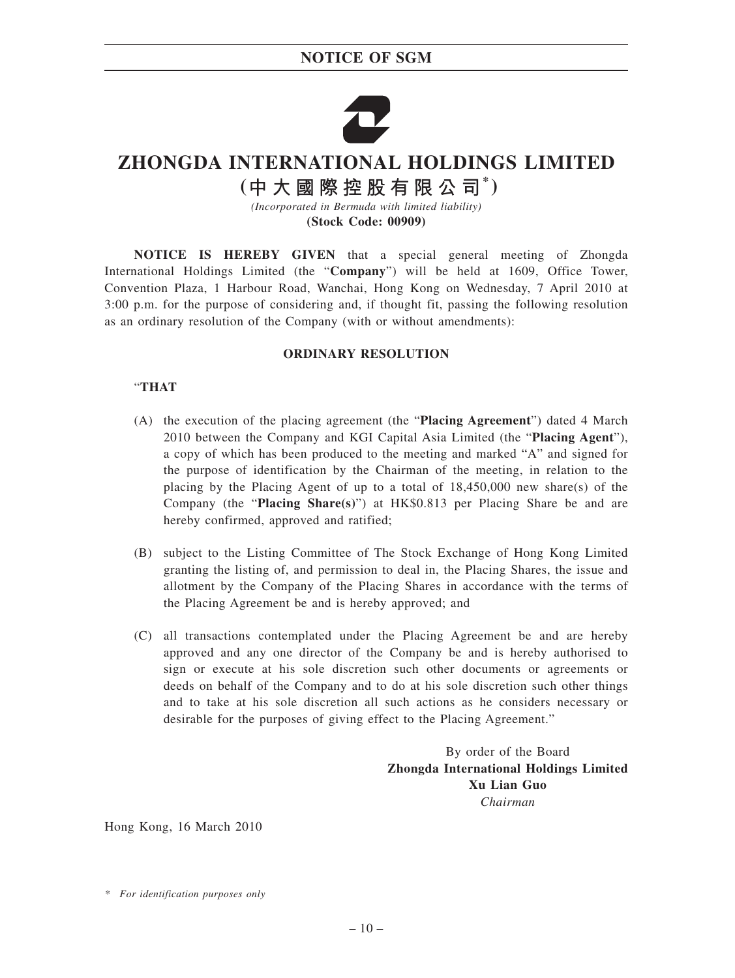## **NOTICE OF SGM**



# **ZHONGDA INTERNATIONAL HOLDINGS LIMITED**

(中大國際控股有限公司<sup>\*</sup>)

*(Incorporated in Bermuda with limited liability)* **(Stock Code: 00909)**

**NOTICE IS HEREBY GIVEN** that a special general meeting of Zhongda International Holdings Limited (the "**Company**") will be held at 1609, Office Tower, Convention Plaza, 1 Harbour Road, Wanchai, Hong Kong on Wednesday, 7 April 2010 at 3:00 p.m. for the purpose of considering and, if thought fit, passing the following resolution as an ordinary resolution of the Company (with or without amendments):

#### **ORDINARY RESOLUTION**

#### "**THAT**

- (A) the execution of the placing agreement (the "**Placing Agreement**") dated 4 March 2010 between the Company and KGI Capital Asia Limited (the "**Placing Agent**"), a copy of which has been produced to the meeting and marked "A" and signed for the purpose of identification by the Chairman of the meeting, in relation to the placing by the Placing Agent of up to a total of 18,450,000 new share(s) of the Company (the "**Placing Share(s)**") at HK\$0.813 per Placing Share be and are hereby confirmed, approved and ratified;
- (B) subject to the Listing Committee of The Stock Exchange of Hong Kong Limited granting the listing of, and permission to deal in, the Placing Shares, the issue and allotment by the Company of the Placing Shares in accordance with the terms of the Placing Agreement be and is hereby approved; and
- (C) all transactions contemplated under the Placing Agreement be and are hereby approved and any one director of the Company be and is hereby authorised to sign or execute at his sole discretion such other documents or agreements or deeds on behalf of the Company and to do at his sole discretion such other things and to take at his sole discretion all such actions as he considers necessary or desirable for the purposes of giving effect to the Placing Agreement."

By order of the Board **Zhongda International Holdings Limited Xu Lian Guo** *Chairman*

Hong Kong, 16 March 2010

*<sup>\*</sup> For identification purposes only*